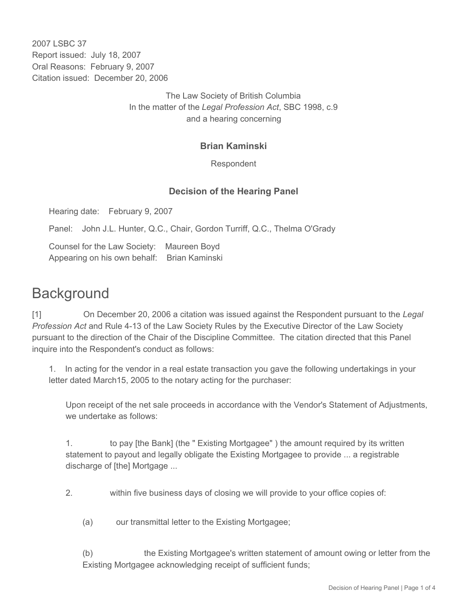2007 LSBC 37 Report issued: July 18, 2007 Oral Reasons: February 9, 2007 Citation issued: December 20, 2006

> The Law Society of British Columbia In the matter of the *Legal Profession Act*, SBC 1998, c.9 and a hearing concerning

## **Brian Kaminski**

Respondent

## **Decision of the Hearing Panel**

Hearing date: February 9, 2007

Panel: John J.L. Hunter, Q.C., Chair, Gordon Turriff, Q.C., Thelma O'Grady

Counsel for the Law Society: Maureen Boyd Appearing on his own behalf: Brian Kaminski

## **Background**

[1] On December 20, 2006 a citation was issued against the Respondent pursuant to the *Legal Profession Act* and Rule 4-13 of the Law Society Rules by the Executive Director of the Law Society pursuant to the direction of the Chair of the Discipline Committee. The citation directed that this Panel inquire into the Respondent's conduct as follows:

1. In acting for the vendor in a real estate transaction you gave the following undertakings in your letter dated March15, 2005 to the notary acting for the purchaser:

Upon receipt of the net sale proceeds in accordance with the Vendor's Statement of Adjustments, we undertake as follows:

1. to pay [the Bank] (the " Existing Mortgagee" ) the amount required by its written statement to payout and legally obligate the Existing Mortgagee to provide ... a registrable discharge of [the] Mortgage ...

2. within five business days of closing we will provide to your office copies of:

(a) our transmittal letter to the Existing Mortgagee;

(b) the Existing Mortgagee's written statement of amount owing or letter from the Existing Mortgagee acknowledging receipt of sufficient funds;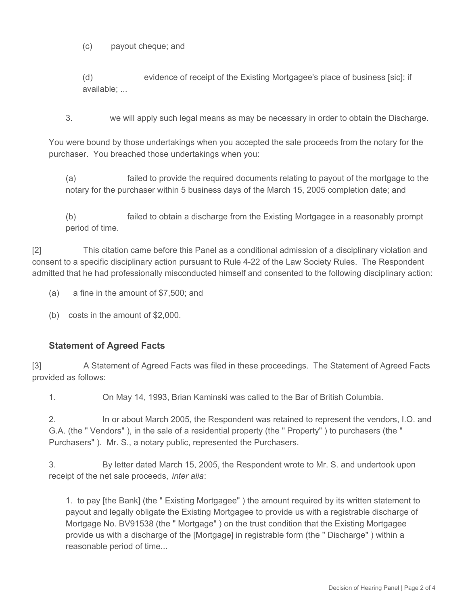(c) payout cheque; and

(d) evidence of receipt of the Existing Mortgagee's place of business [sic]; if available; ...

3. we will apply such legal means as may be necessary in order to obtain the Discharge.

You were bound by those undertakings when you accepted the sale proceeds from the notary for the purchaser. You breached those undertakings when you:

(a) failed to provide the required documents relating to payout of the mortgage to the notary for the purchaser within 5 business days of the March 15, 2005 completion date; and

(b) failed to obtain a discharge from the Existing Mortgagee in a reasonably prompt period of time.

[2] This citation came before this Panel as a conditional admission of a disciplinary violation and consent to a specific disciplinary action pursuant to Rule 4-22 of the Law Society Rules. The Respondent admitted that he had professionally misconducted himself and consented to the following disciplinary action:

- (a) a fine in the amount of \$7,500; and
- (b) costs in the amount of \$2,000.

## **Statement of Agreed Facts**

[3] A Statement of Agreed Facts was filed in these proceedings. The Statement of Agreed Facts provided as follows:

1. On May 14, 1993, Brian Kaminski was called to the Bar of British Columbia.

2. In or about March 2005, the Respondent was retained to represent the vendors, I.O. and G.A. (the " Vendors" ), in the sale of a residential property (the " Property" ) to purchasers (the " Purchasers" ). Mr. S., a notary public, represented the Purchasers.

3. By letter dated March 15, 2005, the Respondent wrote to Mr. S. and undertook upon receipt of the net sale proceeds, *inter alia*:

1. to pay [the Bank] (the " Existing Mortgagee" ) the amount required by its written statement to payout and legally obligate the Existing Mortgagee to provide us with a registrable discharge of Mortgage No. BV91538 (the " Mortgage" ) on the trust condition that the Existing Mortgagee provide us with a discharge of the [Mortgage] in registrable form (the " Discharge" ) within a reasonable period of time...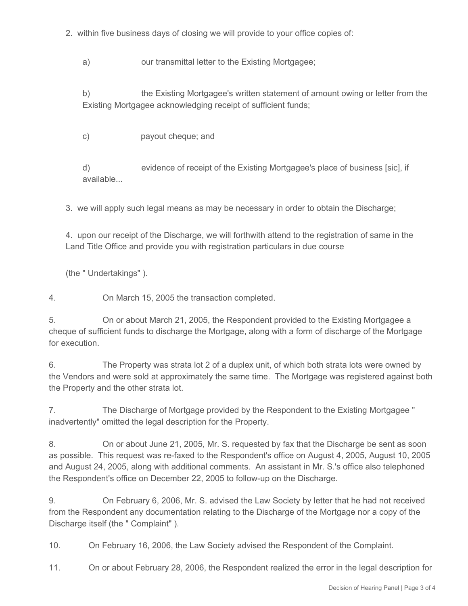2. within five business days of closing we will provide to your office copies of:

a) our transmittal letter to the Existing Mortgagee;

b) the Existing Mortgagee's written statement of amount owing or letter from the Existing Mortgagee acknowledging receipt of sufficient funds;

c) payout cheque; and

d) evidence of receipt of the Existing Mortgagee's place of business [sic], if available.

3. we will apply such legal means as may be necessary in order to obtain the Discharge;

4. upon our receipt of the Discharge, we will forthwith attend to the registration of same in the Land Title Office and provide you with registration particulars in due course

(the " Undertakings" ).

4. On March 15, 2005 the transaction completed.

5. On or about March 21, 2005, the Respondent provided to the Existing Mortgagee a cheque of sufficient funds to discharge the Mortgage, along with a form of discharge of the Mortgage for execution.

6. The Property was strata lot 2 of a duplex unit, of which both strata lots were owned by the Vendors and were sold at approximately the same time. The Mortgage was registered against both the Property and the other strata lot.

7. The Discharge of Mortgage provided by the Respondent to the Existing Mortgagee " inadvertently" omitted the legal description for the Property.

8. On or about June 21, 2005, Mr. S. requested by fax that the Discharge be sent as soon as possible. This request was re-faxed to the Respondent's office on August 4, 2005, August 10, 2005 and August 24, 2005, along with additional comments. An assistant in Mr. S.'s office also telephoned the Respondent's office on December 22, 2005 to follow-up on the Discharge.

9. On February 6, 2006, Mr. S. advised the Law Society by letter that he had not received from the Respondent any documentation relating to the Discharge of the Mortgage nor a copy of the Discharge itself (the " Complaint" ).

10. On February 16, 2006, the Law Society advised the Respondent of the Complaint.

11. On or about February 28, 2006, the Respondent realized the error in the legal description for